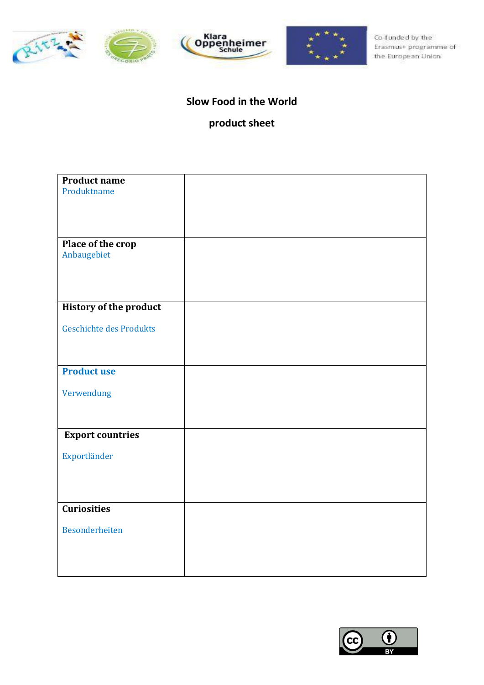







#### **Slow Food in the World**

## **product sheet**

| <b>Product name</b>           |  |
|-------------------------------|--|
| Produktname                   |  |
|                               |  |
|                               |  |
|                               |  |
|                               |  |
| Place of the crop             |  |
| Anbaugebiet                   |  |
|                               |  |
|                               |  |
|                               |  |
| <b>History of the product</b> |  |
|                               |  |
| Geschichte des Produkts       |  |
|                               |  |
|                               |  |
|                               |  |
| <b>Product use</b>            |  |
| Verwendung                    |  |
|                               |  |
|                               |  |
|                               |  |
| <b>Export countries</b>       |  |
|                               |  |
| Exportländer                  |  |
|                               |  |
|                               |  |
|                               |  |
| <b>Curiosities</b>            |  |
|                               |  |
| <b>Besonderheiten</b>         |  |
|                               |  |
|                               |  |
|                               |  |
|                               |  |

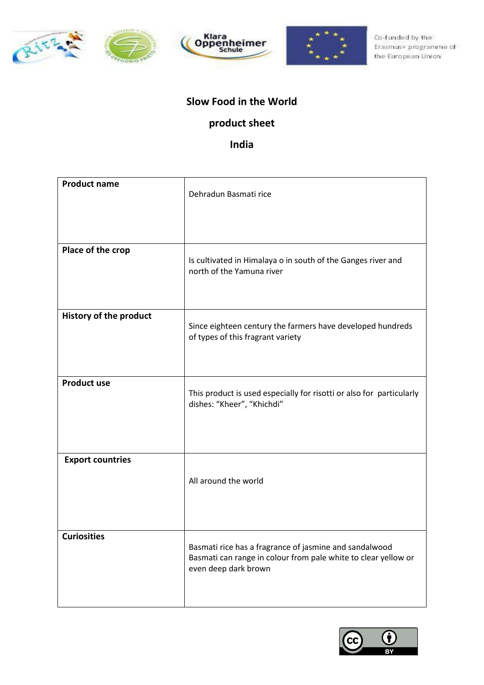







#### **Slow Food in the World**

## **product sheet**

### **India**

| <b>Product name</b>           | Dehradun Basmati rice                                                                                                                            |
|-------------------------------|--------------------------------------------------------------------------------------------------------------------------------------------------|
| Place of the crop             | Is cultivated in Himalaya o in south of the Ganges river and<br>north of the Yamuna river                                                        |
| <b>History of the product</b> | Since eighteen century the farmers have developed hundreds<br>of types of this fragrant variety                                                  |
| <b>Product use</b>            | This product is used especially for risotti or also for particularly<br>dishes: "Kheer", "Khichdi"                                               |
| <b>Export countries</b>       | All around the world                                                                                                                             |
| <b>Curiosities</b>            | Basmati rice has a fragrance of jasmine and sandalwood<br>Basmati can range in colour from pale white to clear yellow or<br>even deep dark brown |

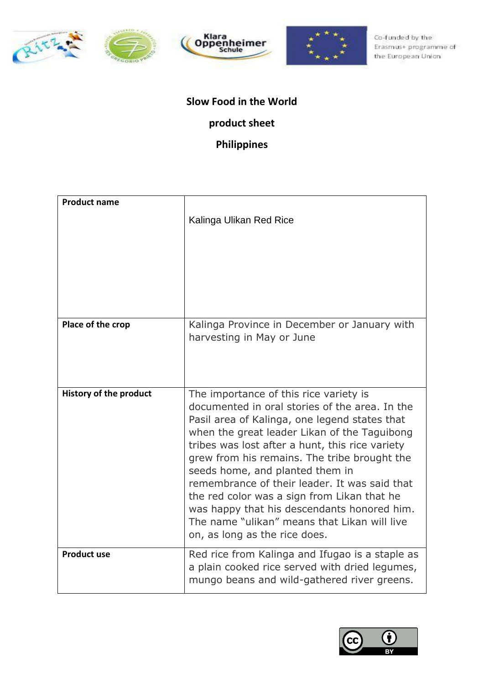







# **Slow Food in the World**

## **product sheet**

## **Philippines**

| <b>Product name</b>           | Kalinga Ulikan Red Rice                                                                                                                                                                                                                                                                                                                                                                                                                                                                                                                                         |
|-------------------------------|-----------------------------------------------------------------------------------------------------------------------------------------------------------------------------------------------------------------------------------------------------------------------------------------------------------------------------------------------------------------------------------------------------------------------------------------------------------------------------------------------------------------------------------------------------------------|
| Place of the crop             | Kalinga Province in December or January with<br>harvesting in May or June                                                                                                                                                                                                                                                                                                                                                                                                                                                                                       |
| <b>History of the product</b> | The importance of this rice variety is<br>documented in oral stories of the area. In the<br>Pasil area of Kalinga, one legend states that<br>when the great leader Likan of the Taguibong<br>tribes was lost after a hunt, this rice variety<br>grew from his remains. The tribe brought the<br>seeds home, and planted them in<br>remembrance of their leader. It was said that<br>the red color was a sign from Likan that he<br>was happy that his descendants honored him.<br>The name "ulikan" means that Likan will live<br>on, as long as the rice does. |
| <b>Product use</b>            | Red rice from Kalinga and Ifugao is a staple as<br>a plain cooked rice served with dried legumes,<br>mungo beans and wild-gathered river greens.                                                                                                                                                                                                                                                                                                                                                                                                                |

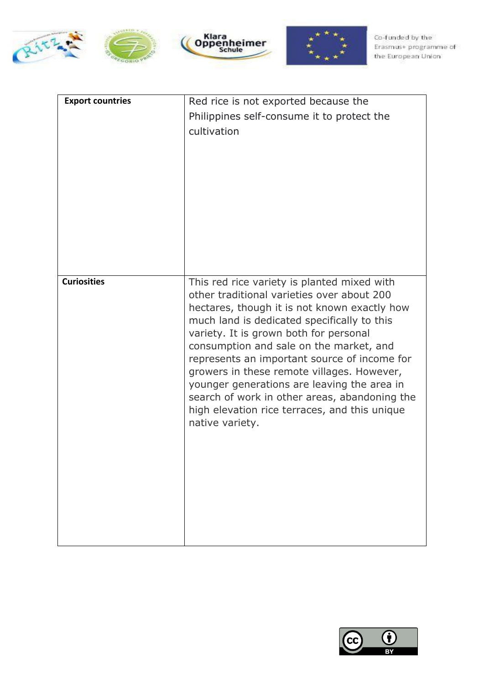







| <b>Export countries</b> | Red rice is not exported because the<br>Philippines self-consume it to protect the<br>cultivation                                                                                                                                                                                                                                                                                                                                                                                                                                               |
|-------------------------|-------------------------------------------------------------------------------------------------------------------------------------------------------------------------------------------------------------------------------------------------------------------------------------------------------------------------------------------------------------------------------------------------------------------------------------------------------------------------------------------------------------------------------------------------|
|                         |                                                                                                                                                                                                                                                                                                                                                                                                                                                                                                                                                 |
| <b>Curiosities</b>      | This red rice variety is planted mixed with<br>other traditional varieties over about 200<br>hectares, though it is not known exactly how<br>much land is dedicated specifically to this<br>variety. It is grown both for personal<br>consumption and sale on the market, and<br>represents an important source of income for<br>growers in these remote villages. However,<br>younger generations are leaving the area in<br>search of work in other areas, abandoning the<br>high elevation rice terraces, and this unique<br>native variety. |

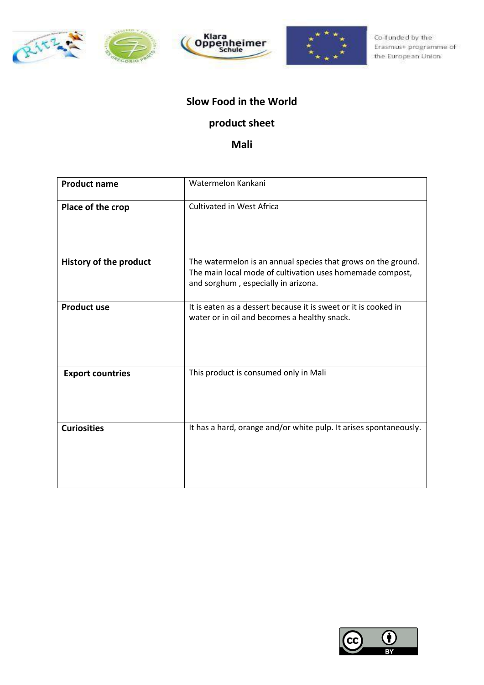







#### **Slow Food in the World**

## **product sheet**

**Mali**

| <b>Product name</b>           | Watermelon Kankani                                                                                                                                                |
|-------------------------------|-------------------------------------------------------------------------------------------------------------------------------------------------------------------|
| Place of the crop             | <b>Cultivated in West Africa</b>                                                                                                                                  |
| <b>History of the product</b> | The watermelon is an annual species that grows on the ground.<br>The main local mode of cultivation uses homemade compost,<br>and sorghum, especially in arizona. |
| <b>Product use</b>            | It is eaten as a dessert because it is sweet or it is cooked in<br>water or in oil and becomes a healthy snack.                                                   |
| <b>Export countries</b>       | This product is consumed only in Mali                                                                                                                             |
| <b>Curiosities</b>            | It has a hard, orange and/or white pulp. It arises spontaneously.                                                                                                 |

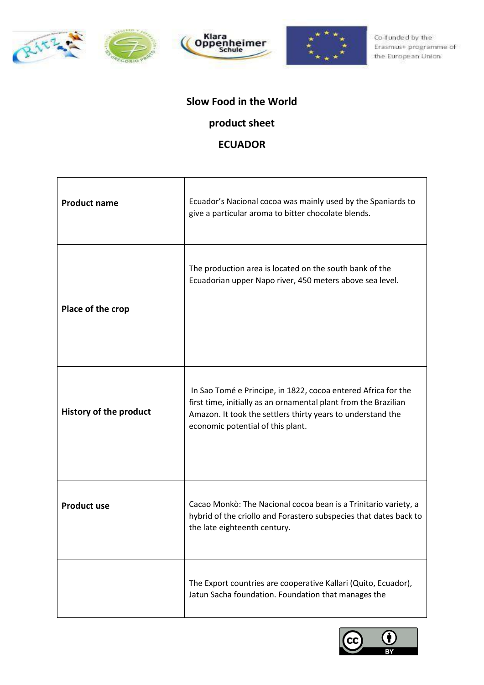







## **Slow Food in the World**

## **product sheet**

#### **ECUADOR**

| <b>Product name</b>           | Ecuador's Nacional cocoa was mainly used by the Spaniards to<br>give a particular aroma to bitter chocolate blends.                                                                                                                  |
|-------------------------------|--------------------------------------------------------------------------------------------------------------------------------------------------------------------------------------------------------------------------------------|
| Place of the crop             | The production area is located on the south bank of the<br>Ecuadorian upper Napo river, 450 meters above sea level.                                                                                                                  |
| <b>History of the product</b> | In Sao Tomé e Principe, in 1822, cocoa entered Africa for the<br>first time, initially as an ornamental plant from the Brazilian<br>Amazon. It took the settlers thirty years to understand the<br>economic potential of this plant. |
| <b>Product use</b>            | Cacao Monkò: The Nacional cocoa bean is a Trinitario variety, a<br>hybrid of the criollo and Forastero subspecies that dates back to<br>the late eighteenth century.                                                                 |
|                               | The Export countries are cooperative Kallari (Quito, Ecuador),<br>Jatun Sacha foundation. Foundation that manages the                                                                                                                |

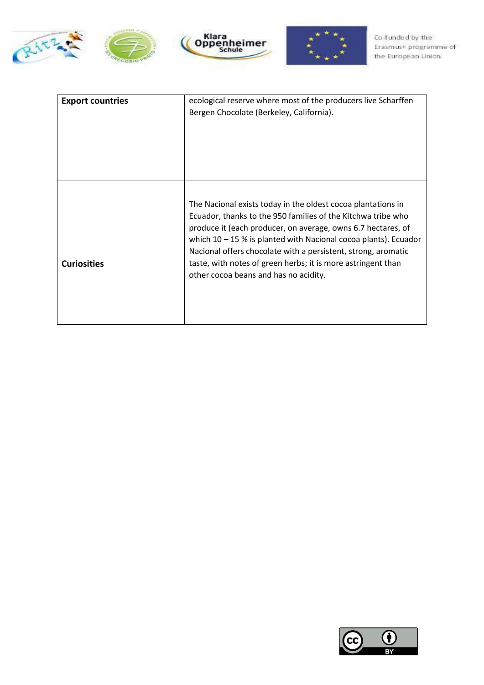







| <b>Export countries</b> | ecological reserve where most of the producers live Scharffen<br>Bergen Chocolate (Berkeley, California).                                                                                                                                                                                                                                                                                                                                   |
|-------------------------|---------------------------------------------------------------------------------------------------------------------------------------------------------------------------------------------------------------------------------------------------------------------------------------------------------------------------------------------------------------------------------------------------------------------------------------------|
| <b>Curiosities</b>      | The Nacional exists today in the oldest cocoa plantations in<br>Ecuador, thanks to the 950 families of the Kitchwa tribe who<br>produce it (each producer, on average, owns 6.7 hectares, of<br>which $10 - 15$ % is planted with Nacional cocoa plants). Ecuador<br>Nacional offers chocolate with a persistent, strong, aromatic<br>taste, with notes of green herbs; it is more astringent than<br>other cocoa beans and has no acidity. |

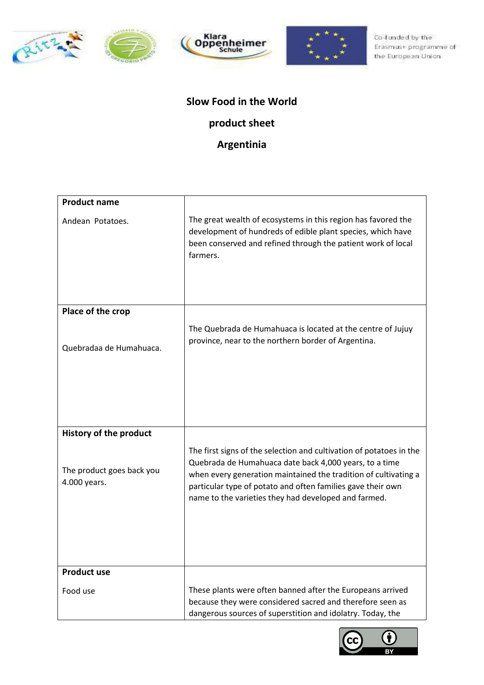







## **Slow Food in the World product sheet**

## **Argentinia**

| <b>Product name</b>                       |                                                                                                                                                                                                                                                                                                                         |
|-------------------------------------------|-------------------------------------------------------------------------------------------------------------------------------------------------------------------------------------------------------------------------------------------------------------------------------------------------------------------------|
| Andean Potatoes.                          | The great wealth of ecosystems in this region has favored the<br>development of hundreds of edible plant species, which have<br>been conserved and refined through the patient work of local<br>farmers.                                                                                                                |
| Place of the crop                         |                                                                                                                                                                                                                                                                                                                         |
| Quebradaa de Humahuaca.                   | The Quebrada de Humahuaca is located at the centre of Jujuy<br>province, near to the northern border of Argentina.                                                                                                                                                                                                      |
| <b>History of the product</b>             |                                                                                                                                                                                                                                                                                                                         |
| The product goes back you<br>4.000 years. | The first signs of the selection and cultivation of potatoes in the<br>Quebrada de Humahuaca date back 4,000 years, to a time<br>when every generation maintained the tradition of cultivating a<br>particular type of potato and often families gave their own<br>name to the varieties they had developed and farmed. |
|                                           |                                                                                                                                                                                                                                                                                                                         |
| <b>Product use</b>                        |                                                                                                                                                                                                                                                                                                                         |
| Food use                                  | These plants were often banned after the Europeans arrived<br>because they were considered sacred and therefore seen as<br>dangerous sources of superstition and idolatry. Today, the                                                                                                                                   |

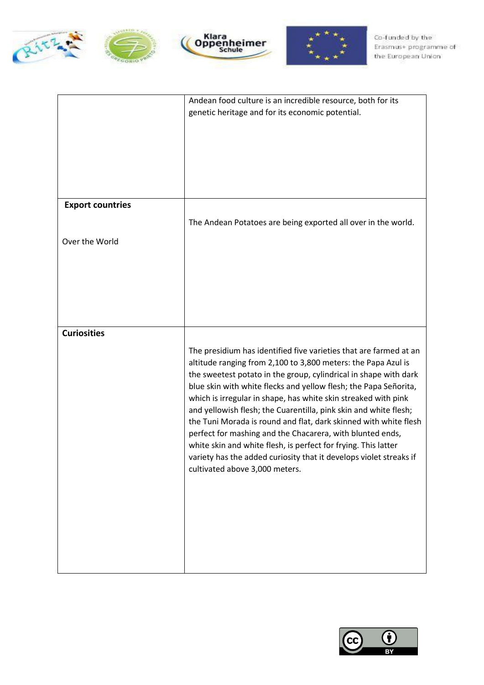







|                         | Andean food culture is an incredible resource, both for its                                                                        |
|-------------------------|------------------------------------------------------------------------------------------------------------------------------------|
|                         | genetic heritage and for its economic potential.                                                                                   |
|                         |                                                                                                                                    |
|                         |                                                                                                                                    |
|                         |                                                                                                                                    |
|                         |                                                                                                                                    |
|                         |                                                                                                                                    |
| <b>Export countries</b> |                                                                                                                                    |
|                         | The Andean Potatoes are being exported all over in the world.                                                                      |
|                         |                                                                                                                                    |
| Over the World          |                                                                                                                                    |
|                         |                                                                                                                                    |
|                         |                                                                                                                                    |
|                         |                                                                                                                                    |
|                         |                                                                                                                                    |
|                         |                                                                                                                                    |
| <b>Curiosities</b>      |                                                                                                                                    |
|                         | The presidium has identified five varieties that are farmed at an                                                                  |
|                         | altitude ranging from 2,100 to 3,800 meters: the Papa Azul is                                                                      |
|                         | the sweetest potato in the group, cylindrical in shape with dark                                                                   |
|                         | blue skin with white flecks and yellow flesh; the Papa Señorita,<br>which is irregular in shape, has white skin streaked with pink |
|                         | and yellowish flesh; the Cuarentilla, pink skin and white flesh;                                                                   |
|                         | the Tuni Morada is round and flat, dark skinned with white flesh                                                                   |
|                         | perfect for mashing and the Chacarera, with blunted ends,                                                                          |
|                         | white skin and white flesh, is perfect for frying. This latter                                                                     |
|                         | variety has the added curiosity that it develops violet streaks if<br>cultivated above 3,000 meters.                               |
|                         |                                                                                                                                    |
|                         |                                                                                                                                    |
|                         |                                                                                                                                    |
|                         |                                                                                                                                    |
|                         |                                                                                                                                    |
|                         |                                                                                                                                    |
|                         |                                                                                                                                    |

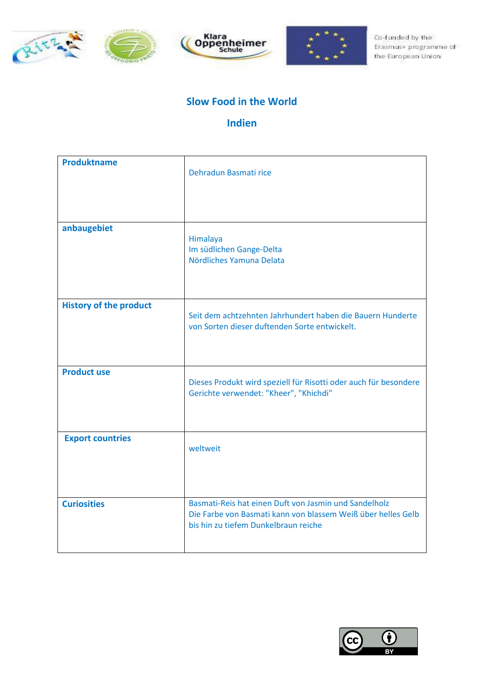







#### **Slow Food in the World**

### **Indien**

| <b>Produktname</b>            | Dehradun Basmati rice                                                                                                                                         |
|-------------------------------|---------------------------------------------------------------------------------------------------------------------------------------------------------------|
| anbaugebiet                   | Himalaya<br>Im südlichen Gange-Delta<br>Nördliches Yamuna Delata                                                                                              |
| <b>History of the product</b> | Seit dem achtzehnten Jahrhundert haben die Bauern Hunderte<br>von Sorten dieser duftenden Sorte entwickelt.                                                   |
| <b>Product use</b>            | Dieses Produkt wird speziell für Risotti oder auch für besondere<br>Gerichte verwendet: "Kheer", "Khichdi"                                                    |
| <b>Export countries</b>       | weltweit                                                                                                                                                      |
| <b>Curiosities</b>            | Basmati-Reis hat einen Duft von Jasmin und Sandelholz<br>Die Farbe von Basmati kann von blassem Weiß über helles Gelb<br>bis hin zu tiefem Dunkelbraun reiche |

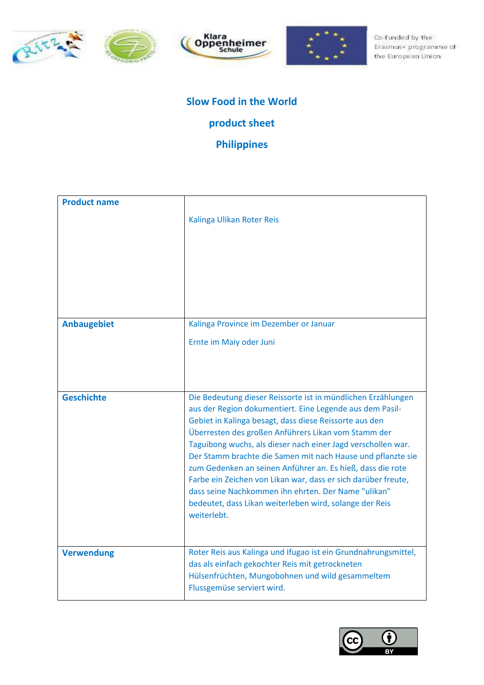







## **Slow Food in the World**

## **product sheet**

### **Philippines**

| <b>Product name</b> | Kalinga Ulikan Roter Reis                                                                                                                                                                                                                                                                                                                                                                                                                                                                                                                                                                                                                |
|---------------------|------------------------------------------------------------------------------------------------------------------------------------------------------------------------------------------------------------------------------------------------------------------------------------------------------------------------------------------------------------------------------------------------------------------------------------------------------------------------------------------------------------------------------------------------------------------------------------------------------------------------------------------|
| <b>Anbaugebiet</b>  | Kalinga Province im Dezember or Januar                                                                                                                                                                                                                                                                                                                                                                                                                                                                                                                                                                                                   |
|                     | Ernte im Maiy oder Juni                                                                                                                                                                                                                                                                                                                                                                                                                                                                                                                                                                                                                  |
| <b>Geschichte</b>   | Die Bedeutung dieser Reissorte ist in mündlichen Erzählungen<br>aus der Region dokumentiert. Eine Legende aus dem Pasil-<br>Gebiet in Kalinga besagt, dass diese Reissorte aus den<br>Überresten des großen Anführers Likan vom Stamm der<br>Taguibong wuchs, als dieser nach einer Jagd verschollen war.<br>Der Stamm brachte die Samen mit nach Hause und pflanzte sie<br>zum Gedenken an seinen Anführer an. Es hieß, dass die rote<br>Farbe ein Zeichen von Likan war, dass er sich darüber freute,<br>dass seine Nachkommen ihn ehrten. Der Name "ulikan"<br>bedeutet, dass Likan weiterleben wird, solange der Reis<br>weiterlebt. |
| <b>Verwendung</b>   | Roter Reis aus Kalinga und Ifugao ist ein Grundnahrungsmittel,<br>das als einfach gekochter Reis mit getrockneten<br>Hülsenfrüchten, Mungobohnen und wild gesammeltem<br>Flussgemüse serviert wird.                                                                                                                                                                                                                                                                                                                                                                                                                                      |

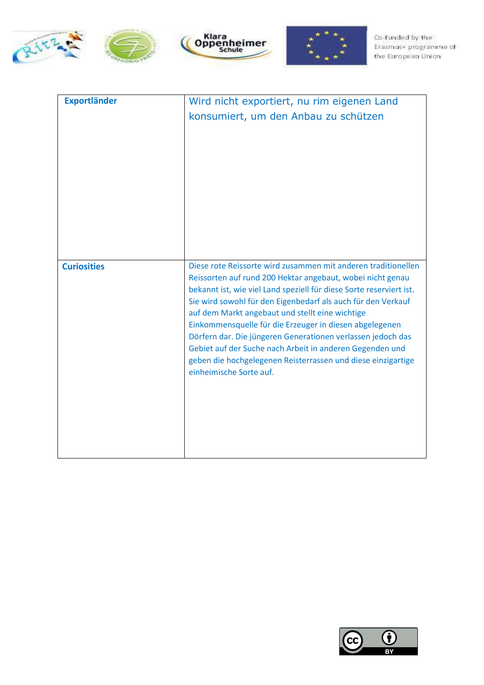







| <b>Exportländer</b> | Wird nicht exportiert, nu rim eigenen Land<br>konsumiert, um den Anbau zu schützen                                                                                                                                                                                                                                                                                                                                                                                                                                                                                                                     |
|---------------------|--------------------------------------------------------------------------------------------------------------------------------------------------------------------------------------------------------------------------------------------------------------------------------------------------------------------------------------------------------------------------------------------------------------------------------------------------------------------------------------------------------------------------------------------------------------------------------------------------------|
| <b>Curiosities</b>  | Diese rote Reissorte wird zusammen mit anderen traditionellen<br>Reissorten auf rund 200 Hektar angebaut, wobei nicht genau<br>bekannt ist, wie viel Land speziell für diese Sorte reserviert ist.<br>Sie wird sowohl für den Eigenbedarf als auch für den Verkauf<br>auf dem Markt angebaut und stellt eine wichtige<br>Einkommensquelle für die Erzeuger in diesen abgelegenen<br>Dörfern dar. Die jüngeren Generationen verlassen jedoch das<br>Gebiet auf der Suche nach Arbeit in anderen Gegenden und<br>geben die hochgelegenen Reisterrassen und diese einzigartige<br>einheimische Sorte auf. |

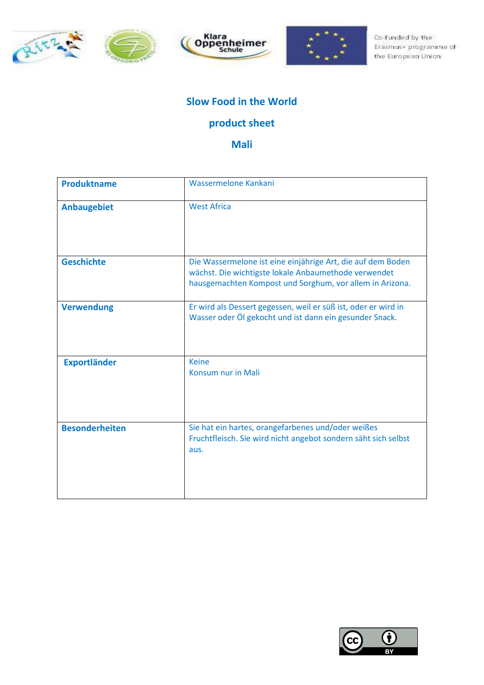







#### **Slow Food in the World**

## **product sheet**

**Mali**

| <b>Produktname</b>    | Wassermelone Kankani                                                                                                                                                            |
|-----------------------|---------------------------------------------------------------------------------------------------------------------------------------------------------------------------------|
| <b>Anbaugebiet</b>    | <b>West Africa</b>                                                                                                                                                              |
| <b>Geschichte</b>     | Die Wassermelone ist eine einjährige Art, die auf dem Boden<br>wächst. Die wichtigste lokale Anbaumethode verwendet<br>hausgemachten Kompost und Sorghum, vor allem in Arizona. |
| <b>Verwendung</b>     | Er wird als Dessert gegessen, weil er süß ist, oder er wird in<br>Wasser oder Ölgekocht und ist dann ein gesunder Snack.                                                        |
| <b>Exportländer</b>   | <b>Keine</b><br>Konsum nur in Mali                                                                                                                                              |
| <b>Besonderheiten</b> | Sie hat ein hartes, orangefarbenes und/oder weißes<br>Fruchtfleisch. Sie wird nicht angebot sondern säht sich selbst<br>aus.                                                    |

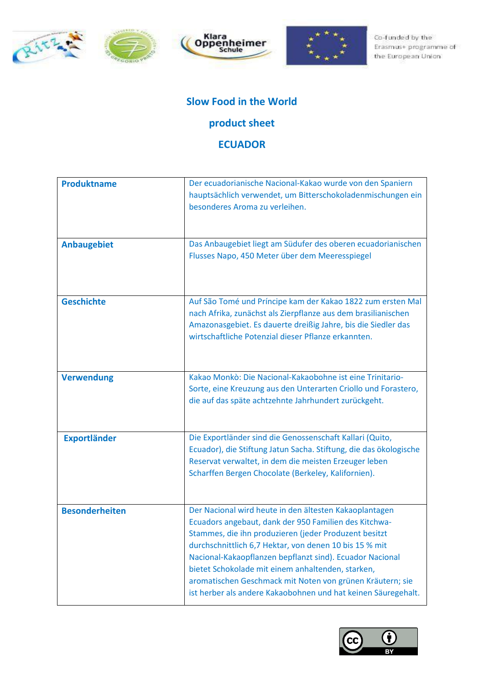







#### **Slow Food in the World**

#### **product sheet**

#### **ECUADOR**

| <b>Produktname</b>    | Der ecuadorianische Nacional-Kakao wurde von den Spaniern<br>hauptsächlich verwendet, um Bitterschokoladenmischungen ein<br>besonderes Aroma zu verleihen.                                                                                                                                                                                                                                                                                                                        |
|-----------------------|-----------------------------------------------------------------------------------------------------------------------------------------------------------------------------------------------------------------------------------------------------------------------------------------------------------------------------------------------------------------------------------------------------------------------------------------------------------------------------------|
| <b>Anbaugebiet</b>    | Das Anbaugebiet liegt am Südufer des oberen ecuadorianischen<br>Flusses Napo, 450 Meter über dem Meeresspiegel                                                                                                                                                                                                                                                                                                                                                                    |
| <b>Geschichte</b>     | Auf São Tomé und Príncipe kam der Kakao 1822 zum ersten Mal<br>nach Afrika, zunächst als Zierpflanze aus dem brasilianischen<br>Amazonasgebiet. Es dauerte dreißig Jahre, bis die Siedler das<br>wirtschaftliche Potenzial dieser Pflanze erkannten.                                                                                                                                                                                                                              |
| <b>Verwendung</b>     | Kakao Monkò: Die Nacional-Kakaobohne ist eine Trinitario-<br>Sorte, eine Kreuzung aus den Unterarten Criollo und Forastero,<br>die auf das späte achtzehnte Jahrhundert zurückgeht.                                                                                                                                                                                                                                                                                               |
| <b>Exportländer</b>   | Die Exportländer sind die Genossenschaft Kallari (Quito,<br>Ecuador), die Stiftung Jatun Sacha. Stiftung, die das ökologische<br>Reservat verwaltet, in dem die meisten Erzeuger leben<br>Scharffen Bergen Chocolate (Berkeley, Kalifornien).                                                                                                                                                                                                                                     |
| <b>Besonderheiten</b> | Der Nacional wird heute in den ältesten Kakaoplantagen<br>Ecuadors angebaut, dank der 950 Familien des Kitchwa-<br>Stammes, die ihn produzieren (jeder Produzent besitzt<br>durchschnittlich 6,7 Hektar, von denen 10 bis 15 % mit<br>Nacional-Kakaopflanzen bepflanzt sind). Ecuador Nacional<br>bietet Schokolade mit einem anhaltenden, starken,<br>aromatischen Geschmack mit Noten von grünen Kräutern; sie<br>ist herber als andere Kakaobohnen und hat keinen Säuregehalt. |

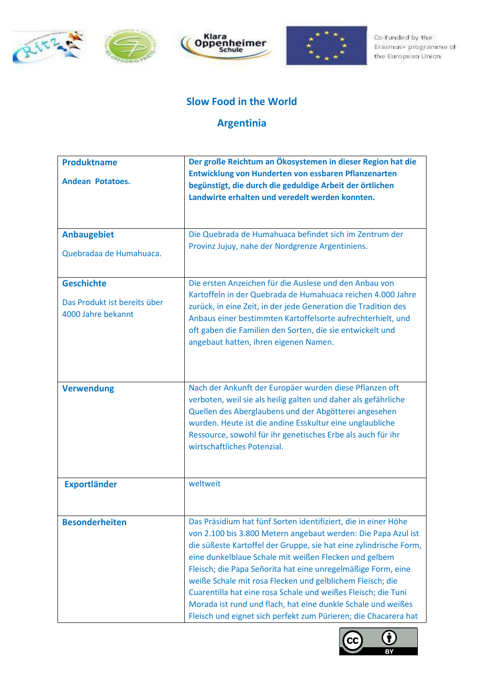







#### **Slow Food in the World**

## **Argentinia**

| <b>Produktname</b>                                                      | Der große Reichtum an Ökosystemen in dieser Region hat die                                                                                                                                                                                                                                                                                                                                                                                                                                                                                                                                     |
|-------------------------------------------------------------------------|------------------------------------------------------------------------------------------------------------------------------------------------------------------------------------------------------------------------------------------------------------------------------------------------------------------------------------------------------------------------------------------------------------------------------------------------------------------------------------------------------------------------------------------------------------------------------------------------|
| <b>Andean Potatoes.</b>                                                 | Entwicklung von Hunderten von essbaren Pflanzenarten<br>begünstigt, die durch die geduldige Arbeit der örtlichen<br>Landwirte erhalten und veredelt werden konnten.                                                                                                                                                                                                                                                                                                                                                                                                                            |
| <b>Anbaugebiet</b><br>Quebradaa de Humahuaca.                           | Die Quebrada de Humahuaca befindet sich im Zentrum der<br>Provinz Jujuy, nahe der Nordgrenze Argentiniens.                                                                                                                                                                                                                                                                                                                                                                                                                                                                                     |
| <b>Geschichte</b><br>Das Produkt ist bereits über<br>4000 Jahre bekannt | Die ersten Anzeichen für die Auslese und den Anbau von<br>Kartoffeln in der Quebrada de Humahuaca reichen 4.000 Jahre<br>zurück, in eine Zeit, in der jede Generation die Tradition des<br>Anbaus einer bestimmten Kartoffelsorte aufrechterhielt, und<br>oft gaben die Familien den Sorten, die sie entwickelt und<br>angebaut hatten, ihren eigenen Namen.                                                                                                                                                                                                                                   |
| <b>Verwendung</b>                                                       | Nach der Ankunft der Europäer wurden diese Pflanzen oft<br>verboten, weil sie als heilig galten und daher als gefährliche<br>Quellen des Aberglaubens und der Abgötterei angesehen<br>wurden. Heute ist die andine Esskultur eine unglaubliche<br>Ressource, sowohl für ihr genetisches Erbe als auch für ihr<br>wirtschaftliches Potenzial.                                                                                                                                                                                                                                                   |
| <b>Exportländer</b>                                                     | weltweit                                                                                                                                                                                                                                                                                                                                                                                                                                                                                                                                                                                       |
| <b>Besonderheiten</b>                                                   | Das Präsidium hat fünf Sorten identifiziert, die in einer Höhe<br>von 2.100 bis 3.800 Metern angebaut werden: Die Papa Azul ist<br>die süßeste Kartoffel der Gruppe, sie hat eine zylindrische Form,<br>eine dunkelblaue Schale mit weißen Flecken und gelbem<br>Fleisch; die Papa Señorita hat eine unregelmäßige Form, eine<br>weiße Schale mit rosa Flecken und gelblichem Fleisch; die<br>Cuarentilla hat eine rosa Schale und weißes Fleisch; die Tuni<br>Morada ist rund und flach, hat eine dunkle Schale und weißes<br>Fleisch und eignet sich perfekt zum Pürieren; die Chacarera hat |

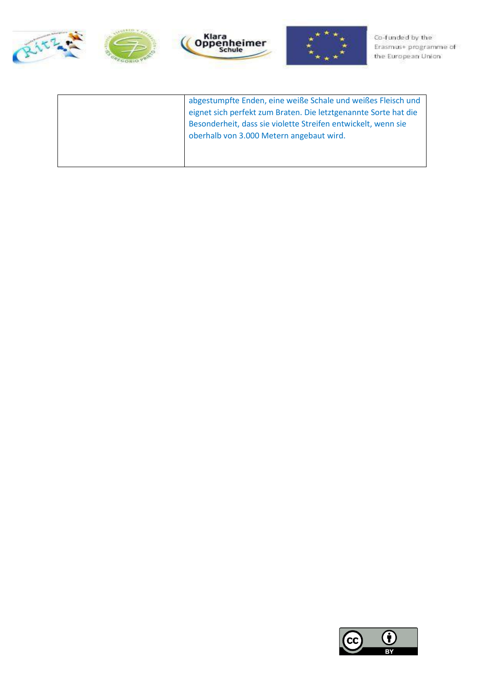







| abgestumpfte Enden, eine weiße Schale und weißes Fleisch und    |
|-----------------------------------------------------------------|
| eignet sich perfekt zum Braten. Die letztgenannte Sorte hat die |
| Besonderheit, dass sie violette Streifen entwickelt, wenn sie   |
| oberhalb von 3.000 Metern angebaut wird.                        |
|                                                                 |
|                                                                 |
|                                                                 |